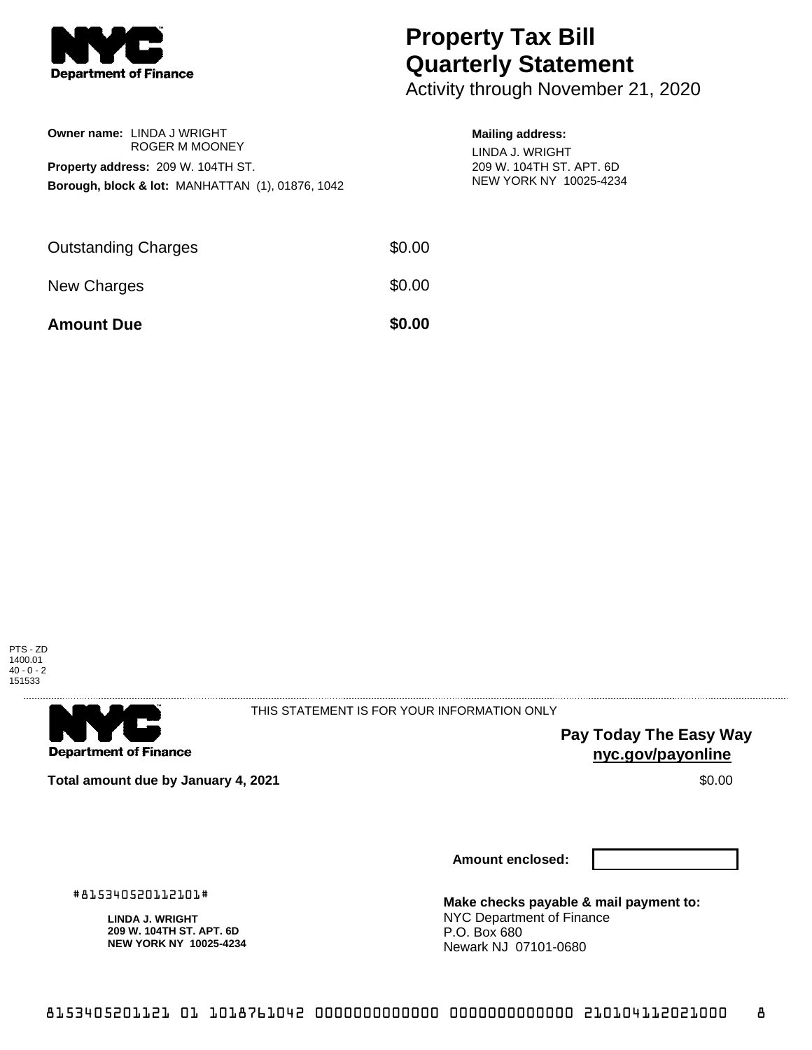

## **Property Tax Bill Quarterly Statement**

Activity through November 21, 2020

|                                                             | <b>Owner name: LINDA J WRIGHT</b><br>ROGER M MOONEY |  |  |  |
|-------------------------------------------------------------|-----------------------------------------------------|--|--|--|
|                                                             | Property address: 209 W. 104TH ST.                  |  |  |  |
| <b>Borough, block &amp; lot: MANHATTAN (1), 01876, 1042</b> |                                                     |  |  |  |
|                                                             |                                                     |  |  |  |
|                                                             |                                                     |  |  |  |

## **Mailing address:**

LINDA J. WRIGHT 209 W. 104TH ST. APT. 6D NEW YORK NY 10025-4234

| <b>Amount Due</b>          | \$0.00 |
|----------------------------|--------|
| New Charges                | \$0.00 |
| <b>Outstanding Charges</b> | \$0.00 |





THIS STATEMENT IS FOR YOUR INFORMATION ONLY

**Pay Today The Easy Way nyc.gov/payonline**

**Total amount due by January 4, 2021 \$0.00** \$0.00

**Amount enclosed:**

**Make checks payable & mail payment to:** NYC Department of Finance P.O. Box 680 Newark NJ 07101-0680

#815340520112101#

**LINDA J. WRIGHT 209 W. 104TH ST. APT. 6D NEW YORK NY 10025-4234**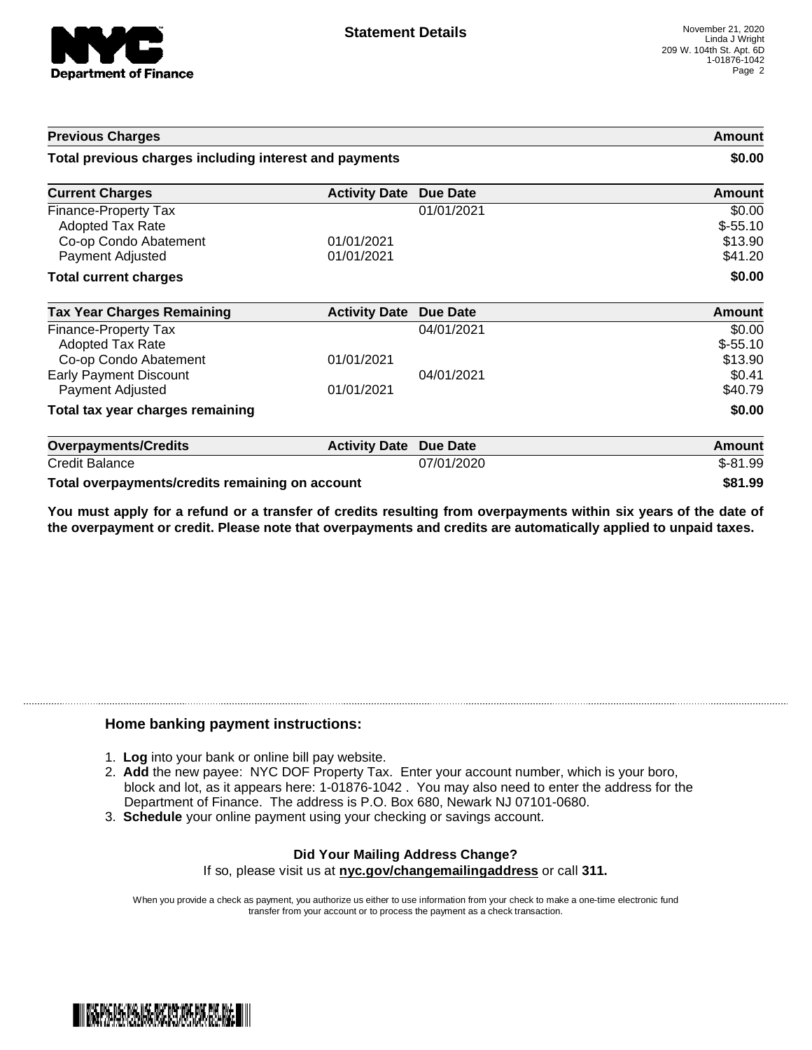

| <b>Previous Charges</b><br>Total previous charges including interest and payments            |                          |                 | Amount<br>\$0.00                          |
|----------------------------------------------------------------------------------------------|--------------------------|-----------------|-------------------------------------------|
|                                                                                              |                          |                 |                                           |
| Finance-Property Tax<br><b>Adopted Tax Rate</b><br>Co-op Condo Abatement<br>Payment Adjusted | 01/01/2021<br>01/01/2021 | 01/01/2021      | \$0.00<br>$$-55.10$<br>\$13.90<br>\$41.20 |
| <b>Total current charges</b>                                                                 |                          |                 | \$0.00                                    |
| <b>Tax Year Charges Remaining</b>                                                            | <b>Activity Date</b>     | <b>Due Date</b> | <b>Amount</b>                             |
| Finance-Property Tax<br>Adopted Tax Rate<br>Co-op Condo Abatement                            | 01/01/2021               | 04/01/2021      | \$0.00<br>$$-55.10$<br>\$13.90            |
| <b>Early Payment Discount</b><br>Payment Adjusted                                            | 01/01/2021               | 04/01/2021      | \$0.41<br>\$40.79                         |
| Total tax year charges remaining                                                             |                          |                 | \$0.00                                    |
| <b>Overpayments/Credits</b>                                                                  | <b>Activity Date</b>     | <b>Due Date</b> | <b>Amount</b>                             |
| <b>Credit Balance</b>                                                                        |                          | 07/01/2020      | $$-81.99$                                 |
| Total overpayments/credits remaining on account                                              |                          |                 | \$81.99                                   |

You must apply for a refund or a transfer of credits resulting from overpayments within six years of the date of **the overpayment or credit. Please note that overpayments and credits are automatically applied to unpaid taxes.**

## **Home banking payment instructions:**

- 1. **Log** into your bank or online bill pay website.
- 2. **Add** the new payee: NYC DOF Property Tax. Enter your account number, which is your boro, block and lot, as it appears here: 1-01876-1042 . You may also need to enter the address for the Department of Finance. The address is P.O. Box 680, Newark NJ 07101-0680.
- 3. **Schedule** your online payment using your checking or savings account.

## **Did Your Mailing Address Change?** If so, please visit us at **nyc.gov/changemailingaddress** or call **311.**

When you provide a check as payment, you authorize us either to use information from your check to make a one-time electronic fund transfer from your account or to process the payment as a check transaction.